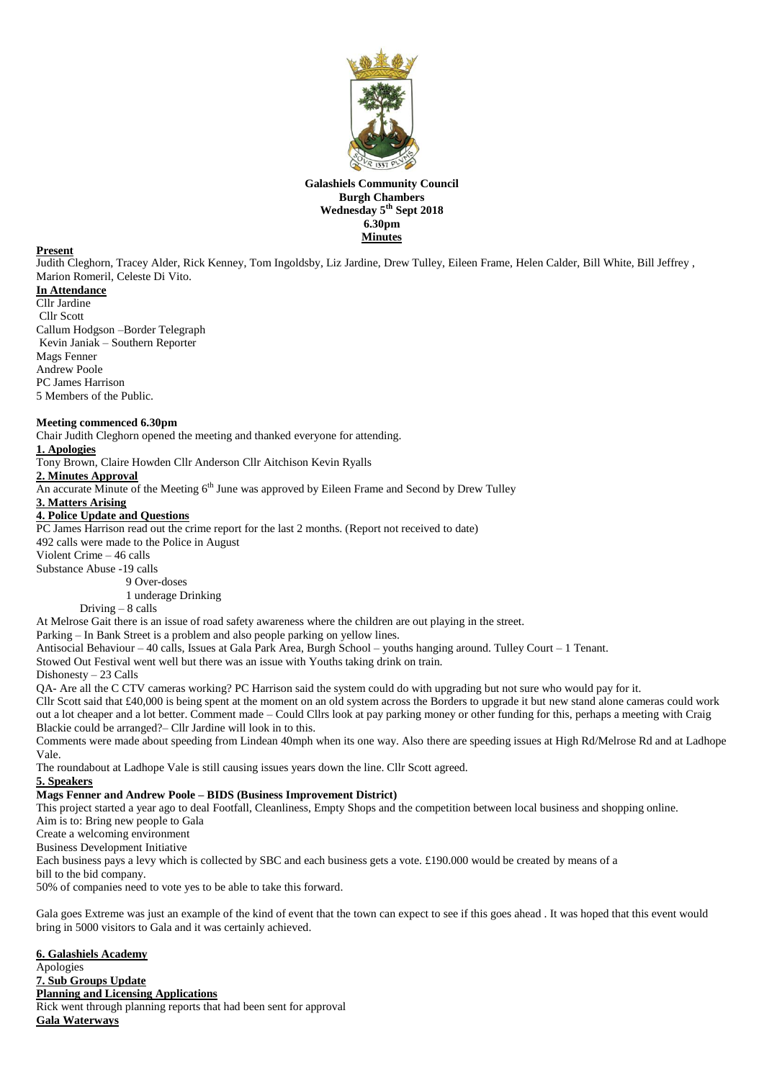

## **Galashiels Community Council Burgh Chambers Wednesday 5 th Sept 2018 6.30pm Minutes**

## **Present**

Judith Cleghorn, Tracey Alder, Rick Kenney, Tom Ingoldsby, Liz Jardine, Drew Tulley, Eileen Frame, Helen Calder, Bill White, Bill Jeffrey , Marion Romeril, Celeste Di Vito.

- **In Attendance** Cllr Jardine
- Cllr Scott Callum Hodgson –Border Telegraph Kevin Janiak – Southern Reporter Mags Fenner Andrew Poole PC James Harrison 5 Members of the Public.

## **Meeting commenced 6.30pm**

Chair Judith Cleghorn opened the meeting and thanked everyone for attending.

#### **1. Apologies**

Tony Brown, Claire Howden Cllr Anderson Cllr Aitchison Kevin Ryalls

### **2. Minutes Approval**

An accurate Minute of the Meeting 6<sup>th</sup> June was approved by Eileen Frame and Second by Drew Tulley

#### **3. Matters Arising**

#### **4. Police Update and Questions**

PC James Harrison read out the crime report for the last 2 months. (Report not received to date) 492 calls were made to the Police in August

Violent Crime – 46 calls

Substance Abuse -19 calls

9 Over-doses

1 underage Drinking

Driving – 8 calls

At Melrose Gait there is an issue of road safety awareness where the children are out playing in the street.

Parking – In Bank Street is a problem and also people parking on yellow lines.

Antisocial Behaviour – 40 calls, Issues at Gala Park Area, Burgh School – youths hanging around. Tulley Court – 1 Tenant.

Stowed Out Festival went well but there was an issue with Youths taking drink on train.

Dishonesty – 23 Calls

QA- Are all the C CTV cameras working? PC Harrison said the system could do with upgrading but not sure who would pay for it.

Cllr Scott said that £40,000 is being spent at the moment on an old system across the Borders to upgrade it but new stand alone cameras could work out a lot cheaper and a lot better. Comment made – Could Cllrs look at pay parking money or other funding for this, perhaps a meeting with Craig Blackie could be arranged?– Cllr Jardine will look in to this.

Comments were made about speeding from Lindean 40mph when its one way. Also there are speeding issues at High Rd/Melrose Rd and at Ladhope Vale.

The roundabout at Ladhope Vale is still causing issues years down the line. Cllr Scott agreed.

# **5. Speakers**

### **Mags Fenner and Andrew Poole – BIDS (Business Improvement District)**

This project started a year ago to deal Footfall, Cleanliness, Empty Shops and the competition between local business and shopping online.

Aim is to: Bring new people to Gala

Create a welcoming environment

Business Development Initiative

Each business pays a levy which is collected by SBC and each business gets a vote. £190.000 would be created by means of a

bill to the bid company.

50% of companies need to vote yes to be able to take this forward.

Gala goes Extreme was just an example of the kind of event that the town can expect to see if this goes ahead . It was hoped that this event would bring in 5000 visitors to Gala and it was certainly achieved.

**6. Galashiels Academy** Apologies **7. Sub Groups Update Planning and Licensing Applications** Rick went through planning reports that had been sent for approval **Gala Waterways**